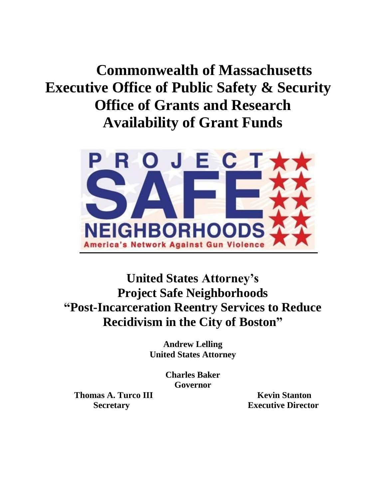**Commonwealth of Massachusetts Executive Office of Public Safety & Security Office of Grants and Research Availability of Grant Funds**



**United States Attorney's Project Safe Neighborhoods "Post-Incarceration Reentry Services to Reduce Recidivism in the City of Boston"**

> **Andrew Lelling United States Attorney**

> > **Charles Baker Governor**

**Thomas A. Turco III Kevin Stanton** 

**Secretary Executive Director**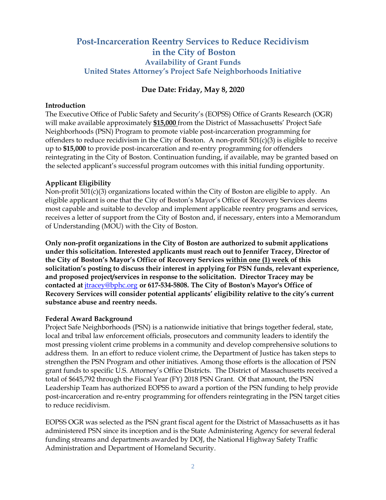# **Post-Incarceration Reentry Services to Reduce Recidivism in the City of Boston Availability of Grant Funds United States Attorney's Project Safe Neighborhoods Initiative**

### **Due Date: Friday, May 8, 2020**

#### **Introduction**

The Executive Office of Public Safety and Security's (EOPSS) Office of Grants Research (OGR) will make available approximately **\$15,000** from the District of Massachusetts' Project Safe Neighborhoods (PSN) Program to promote viable post-incarceration programming for offenders to reduce recidivism in the City of Boston. A non-profit 501(c)(3) is eligible to receive up to **\$15,000** to provide post-incarceration and re-entry programming for offenders reintegrating in the City of Boston. Continuation funding, if available, may be granted based on the selected applicant's successful program outcomes with this initial funding opportunity.

#### **Applicant Eligibility**

Non-profit 501(c)(3) organizations located within the City of Boston are eligible to apply. An eligible applicant is one that the City of Boston's Mayor's Office of Recovery Services deems most capable and suitable to develop and implement applicable reentry programs and services, receives a letter of support from the City of Boston and, if necessary, enters into a Memorandum of Understanding (MOU) with the City of Boston.

**Only non-profit organizations in the City of Boston are authorized to submit applications under this solicitation. Interested applicants must reach out to Jennifer Tracey, Director of the City of Boston's Mayor's Office of Recovery Services within one (1) week of this solicitation's posting to discuss their interest in applying for PSN funds, relevant experience, and proposed project/services in response to the solicitation. Director Tracey may be contacted at** [jtracey@bphc.org](mailto:jtracey@bphc.org) **or 617-534-5808. The City of Boston's Mayor's Office of Recovery Services will consider potential applicants' eligibility relative to the city's current substance abuse and reentry needs.**

#### **Federal Award Background**

Project Safe Neighborhoods (PSN) is a nationwide initiative that brings together federal, state, local and tribal law enforcement officials, prosecutors and community leaders to identify the most pressing violent crime problems in a community and develop comprehensive solutions to address them. In an effort to reduce violent crime, the Department of Justice has taken steps to strengthen the PSN Program and other initiatives. Among those efforts is the allocation of PSN grant funds to specific U.S. Attorney's Office Districts. The District of Massachusetts received a total of \$645,792 through the Fiscal Year (FY) 2018 PSN Grant. Of that amount, the PSN Leadership Team has authorized EOPSS to award a portion of the PSN funding to help provide post-incarceration and re-entry programming for offenders reintegrating in the PSN target cities to reduce recidivism.

EOPSS OGR was selected as the PSN grant fiscal agent for the District of Massachusetts as it has administered PSN since its inception and is the State Administering Agency for several federal funding streams and departments awarded by DOJ, the National Highway Safety Traffic Administration and Department of Homeland Security.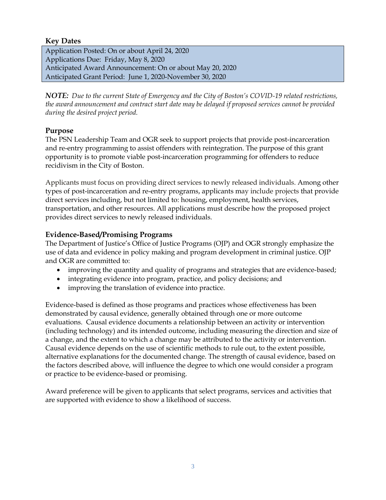## **Key Dates**

Application Posted: On or about April 24, 2020 Applications Due: Friday, May 8, 2020 Anticipated Award Announcement: On or about May 20, 2020 Anticipated Grant Period: June 1, 2020-November 30, 2020

*NOTE: Due to the current State of Emergency and the City of Boston's COVID-19 related restrictions, the award announcement and contract start date may be delayed if proposed services cannot be provided during the desired project period.*

# **Purpose**

The PSN Leadership Team and OGR seek to support projects that provide post-incarceration and re-entry programming to assist offenders with reintegration. The purpose of this grant opportunity is to promote viable post-incarceration programming for offenders to reduce recidivism in the City of Boston.

Applicants must focus on providing direct services to newly released individuals. Among other types of post-incarceration and re-entry programs, applicants may include projects that provide direct services including, but not limited to: housing, employment, health services, transportation, and other resources. All applications must describe how the proposed project provides direct services to newly released individuals.

# **Evidence-Based/Promising Programs**

The Department of Justice's Office of Justice Programs (OJP) and OGR strongly emphasize the use of data and evidence in policy making and program development in criminal justice. OJP and OGR are committed to:

- improving the quantity and quality of programs and strategies that are evidence-based;
- integrating evidence into program, practice, and policy decisions; and
- improving the translation of evidence into practice.

Evidence-based is defined as those programs and practices whose effectiveness has been demonstrated by causal evidence, generally obtained through one or more outcome evaluations. Causal evidence documents a relationship between an activity or intervention (including technology) and its intended outcome, including measuring the direction and size of a change, and the extent to which a change may be attributed to the activity or intervention. Causal evidence depends on the use of scientific methods to rule out, to the extent possible, alternative explanations for the documented change. The strength of causal evidence, based on the factors described above, will influence the degree to which one would consider a program or practice to be evidence-based or promising.

Award preference will be given to applicants that select programs, services and activities that are supported with evidence to show a likelihood of success.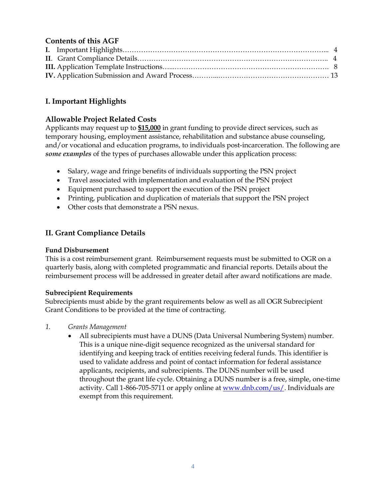# **Contents of this AGF**

# **I. Important Highlights**

## **Allowable Project Related Costs**

Applicants may request up to **\$15,000** in grant funding to provide direct services, such as temporary housing, employment assistance, rehabilitation and substance abuse counseling, and/or vocational and education programs, to individuals post-incarceration. The following are *some examples* of the types of purchases allowable under this application process:

- Salary, wage and fringe benefits of individuals supporting the PSN project
- Travel associated with implementation and evaluation of the PSN project
- Equipment purchased to support the execution of the PSN project
- Printing, publication and duplication of materials that support the PSN project
- Other costs that demonstrate a PSN nexus.

# **II. Grant Compliance Details**

### **Fund Disbursement**

This is a cost reimbursement grant. Reimbursement requests must be submitted to OGR on a quarterly basis, along with completed programmatic and financial reports. Details about the reimbursement process will be addressed in greater detail after award notifications are made.

### **Subrecipient Requirements**

Subrecipients must abide by the grant requirements below as well as all OGR Subrecipient Grant Conditions to be provided at the time of contracting.

- *1. Grants Management*
	- All subrecipients must have a DUNS (Data Universal Numbering System) number. This is a unique nine-digit sequence recognized as the universal standard for identifying and keeping track of entities receiving federal funds. This identifier is used to validate address and point of contact information for federal assistance applicants, recipients, and subrecipients. The DUNS number will be used throughout the grant life cycle. Obtaining a DUNS number is a free, simple, one-time activity. Call 1-866-705-5711 or apply online at  $www.dnb.com/us/$ . Individuals are exempt from this requirement.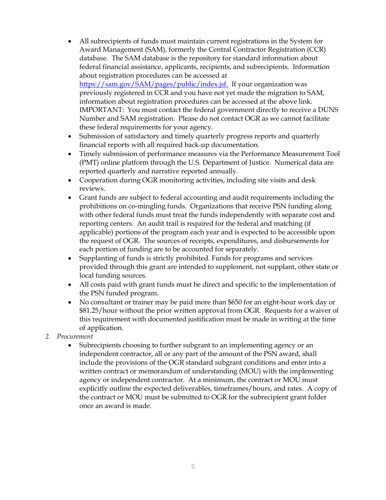- All subrecipients of funds must maintain current registrations in the System for Award Management (SAM), formerly the Central Contractor Registration (CCR) database. The SAM database is the repository for standard information about federal financial assistance, applicants, recipients, and subrecipients. Information about registration procedures can be accessed at [https://sam.gov/SAM/pages/public/index.jsf.](https://sam.gov/SAM/pages/public/index.jsf) If your organization was previously registered in CCR and you have not yet made the migration to SAM, information about registration procedures can be accessed at the above link. IMPORTANT: You must contact the federal government directly to receive a DUNS Number and SAM registration. Please do not contact OGR as we cannot facilitate these federal requirements for your agency.
- Submission of satisfactory and timely quarterly progress reports and quarterly financial reports with all required back-up documentation.
- Timely submission of performance measures via the Performance Measurement Tool (PMT) online platform through the U.S. Department of Justice. Numerical data are reported quarterly and narrative reported annually.
- Cooperation during OGR monitoring activities, including site visits and desk reviews.
- Grant funds are subject to federal accounting and audit requirements including the prohibitions on co-mingling funds. Organizations that receive PSN funding along with other federal funds must treat the funds independently with separate cost and reporting centers. An audit trail is required for the federal and matching (if applicable) portions of the program each year and is expected to be accessible upon the request of OGR. The sources of receipts, expenditures, and disbursements for each portion of funding are to be accounted for separately.
- Supplanting of funds is strictly prohibited. Funds for programs and services provided through this grant are intended to supplement, not supplant, other state or local funding sources.
- All costs paid with grant funds must be direct and specific to the implementation of the PSN funded program.
- No consultant or trainer may be paid more than \$650 for an eight-hour work day or \$81.25/hour without the prior written approval from OGR. Requests for a waiver of this requirement with documented justification must be made in writing at the time of application.
- *2. Procurement*
	- Subrecipients choosing to further subgrant to an implementing agency or an independent contractor, all or any part of the amount of the PSN award, shall include the provisions of the OGR standard subgrant conditions and enter into a written contract or memorandum of understanding (MOU) with the implementing agency or independent contractor. At a minimum, the contract or MOU must explicitly outline the expected deliverables, timeframes/hours, and rates. A copy of the contract or MOU must be submitted to OGR for the subrecipient grant folder once an award is made.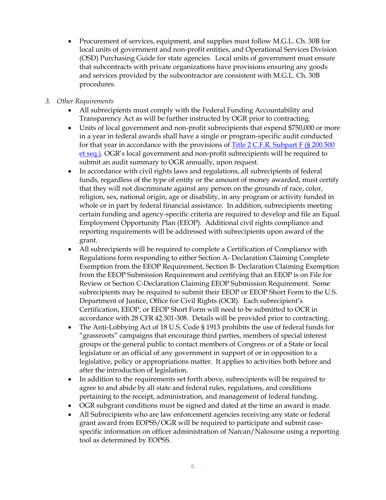- Procurement of services, equipment, and supplies must follow M.G.L. Ch. 30B for local units of government and non-profit entities, and Operational Services Division (OSD) Purchasing Guide for state agencies. Local units of government must ensure that subcontracts with private organizations have provisions ensuring any goods and services provided by the subcontractor are consistent with M.G.L. Ch. 30B procedures.
- *3. Other Requirements*
	- All subrecipients must comply with the Federal Funding Accountability and Transparency Act as will be further instructed by OGR prior to contracting.
	- Units of local government and non-profit subrecipients that expend \$750,000 or more in a year in federal awards shall have a single or program-specific audit conducted for that year in accordance with the provisions of [Title 2 C.F.R. Subpart F \(§ 200.500](http://www.ecfr.gov/cgi-bin/retrieveECFR?gp=&SID=870db2718d81511f58f280c0fdc0957d&n=pt2.1.200&r=PART&ty=HTML#sp2.1.200.f)  [et seq.\).](http://www.ecfr.gov/cgi-bin/retrieveECFR?gp=&SID=870db2718d81511f58f280c0fdc0957d&n=pt2.1.200&r=PART&ty=HTML#sp2.1.200.f) OGR's local government and non-profit subrecipients will be required to submit an audit summary to OGR annually, upon request.
	- In accordance with civil rights laws and regulations, all subrecipients of federal funds, regardless of the type of entity or the amount of money awarded, must certify that they will not discriminate against any person on the grounds of race, color, religion, sex, national origin, age or disability, in any program or activity funded in whole or in part by federal financial assistance. In addition, subrecipients meeting certain funding and agency-specific criteria are required to develop and file an Equal Employment Opportunity Plan (EEOP). Additional civil rights compliance and reporting requirements will be addressed with subrecipients upon award of the grant.
	- All subrecipients will be required to complete a Certification of Compliance with Regulations form responding to either Section A- Declaration Claiming Complete Exemption from the EEOP Requirement, Section B- Declaration Claiming Exemption from the EEOP Submission Requirement and certifying that an EEOP is on File for Review or Section C-Declaration Claiming EEOP Submission Requirement. Some subrecipients may be required to submit their EEOP or EEOP Short Form to the U.S. Department of Justice, Office for Civil Rights (OCR). Each subrecipient's Certification, EEOP, or EEOP Short Form will need to be submitted to OCR in accordance with 28 CFR 42.301-308. Details will be provided prior to contracting.
	- The Anti-Lobbying Act of 18 U.S. Code § 1913 prohibits the use of federal funds for "grassroots" campaigns that encourage third parties, members of special interest groups or the general public to contact members of Congress or of a State or local legislature or an official of any government in support of or in opposition to a legislative, policy or appropriations matter. It applies to activities both before and after the introduction of legislation.
	- In addition to the requirements set forth above, subrecipients will be required to agree to and abide by all state and federal rules, regulations, and conditions pertaining to the receipt, administration, and management of federal funding.
	- OGR subgrant conditions must be signed and dated at the time an award is made.
	- All Subrecipients who are law enforcement agencies receiving any state or federal grant award from EOPSS/OGR will be required to participate and submit casespecific information on officer administration of Narcan/Naloxone using a reporting tool as determined by EOPSS.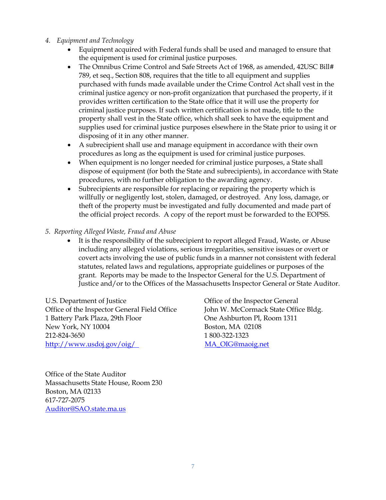- *4. Equipment and Technology*
	- Equipment acquired with Federal funds shall be used and managed to ensure that the equipment is used for criminal justice purposes.
	- The Omnibus Crime Control and Safe Streets Act of 1968, as amended, 42USC Bill# 789, et seq., Section 808, requires that the title to all equipment and supplies purchased with funds made available under the Crime Control Act shall vest in the criminal justice agency or non-profit organization that purchased the property, if it provides written certification to the State office that it will use the property for criminal justice purposes. If such written certification is not made, title to the property shall vest in the State office, which shall seek to have the equipment and supplies used for criminal justice purposes elsewhere in the State prior to using it or disposing of it in any other manner.
	- A subrecipient shall use and manage equipment in accordance with their own procedures as long as the equipment is used for criminal justice purposes.
	- When equipment is no longer needed for criminal justice purposes, a State shall dispose of equipment (for both the State and subrecipients), in accordance with State procedures, with no further obligation to the awarding agency.
	- Subrecipients are responsible for replacing or repairing the property which is willfully or negligently lost, stolen, damaged, or destroyed. Any loss, damage, or theft of the property must be investigated and fully documented and made part of the official project records. A copy of the report must be forwarded to the EOPSS.
- *5. Reporting Alleged Waste, Fraud and Abuse*
	- It is the responsibility of the subrecipient to report alleged Fraud, Waste, or Abuse including any alleged violations, serious irregularities, sensitive issues or overt or covert acts involving the use of public funds in a manner not consistent with federal statutes, related laws and regulations, appropriate guidelines or purposes of the grant. Reports may be made to the Inspector General for the U.S. Department of Justice and/or to the Offices of the Massachusetts Inspector General or State Auditor.

U.S. Department of Justice Office of the Inspector General Office of the Inspector General Field Office John W. McCormack State Office Bldg. 1 Battery Park Plaza, 29th Floor One Ashburton Pl, Room 1311 New York, NY 10004 Boston, MA 02108 212-824-3650 1 800-322-1323 <http://www.usdoj.gov/oig/>MA\_OIG@maoig.net

Office of the State Auditor Massachusetts State House, Room 230 Boston, MA 02133 617-727-2075 [Auditor@SAO.state.ma.us](mailto:Auditor@SAO.state.ma.us)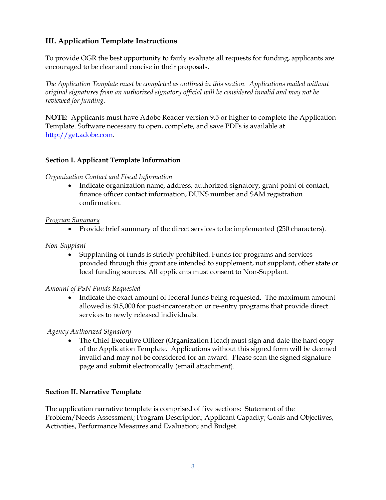# **III. Application Template Instructions**

To provide OGR the best opportunity to fairly evaluate all requests for funding, applicants are encouraged to be clear and concise in their proposals.

*The Application Template must be completed as outlined in this section. Applications mailed without original signatures from an authorized signatory official will be considered invalid and may not be reviewed for funding.*

**NOTE:** Applicants must have Adobe Reader version 9.5 or higher to complete the Application Template. Software necessary to open, complete, and save PDFs is available at [http://get.adobe.com.](http://get.adobe.com/reader/otherversions/)

### **Section I. Applicant Template Information**

### *Organization Contact and Fiscal Information*

• Indicate organization name, address, authorized signatory, grant point of contact, finance officer contact information, DUNS number and SAM registration confirmation.

### *Program Summary*

• Provide brief summary of the direct services to be implemented (250 characters).

### *Non-Supplant*

 Supplanting of funds is strictly prohibited. Funds for programs and services provided through this grant are intended to supplement, not supplant, other state or local funding sources. All applicants must consent to Non-Supplant.

### *Amount of PSN Funds Requested*

• Indicate the exact amount of federal funds being requested. The maximum amount allowed is \$15,000 for post-incarceration or re-entry programs that provide direct services to newly released individuals.

### *Agency Authorized Signatory*

• The Chief Executive Officer (Organization Head) must sign and date the hard copy of the Application Template. Applications without this signed form will be deemed invalid and may not be considered for an award. Please scan the signed signature page and submit electronically (email attachment).

### **Section II. Narrative Template**

The application narrative template is comprised of five sections: Statement of the Problem/Needs Assessment; Program Description; Applicant Capacity; Goals and Objectives, Activities, Performance Measures and Evaluation; and Budget.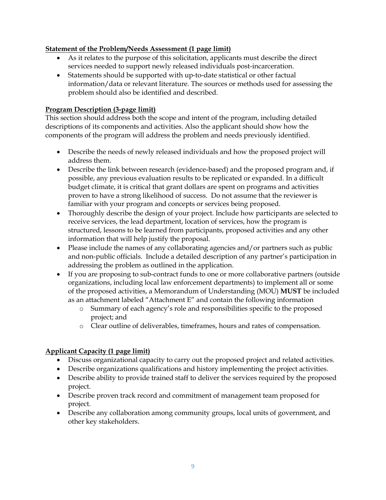## **Statement of the Problem/Needs Assessment (1 page limit)**

- As it relates to the purpose of this solicitation, applicants must describe the direct services needed to support newly released individuals post-incarceration.
- Statements should be supported with up-to-date statistical or other factual information/data or relevant literature. The sources or methods used for assessing the problem should also be identified and described.

## **Program Description (3-page limit)**

This section should address both the scope and intent of the program, including detailed descriptions of its components and activities. Also the applicant should show how the components of the program will address the problem and needs previously identified.

- Describe the needs of newly released individuals and how the proposed project will address them.
- Describe the link between research (evidence-based) and the proposed program and, if possible, any previous evaluation results to be replicated or expanded. In a difficult budget climate, it is critical that grant dollars are spent on programs and activities proven to have a strong likelihood of success. Do not assume that the reviewer is familiar with your program and concepts or services being proposed.
- Thoroughly describe the design of your project. Include how participants are selected to receive services, the lead department, location of services, how the program is structured, lessons to be learned from participants, proposed activities and any other information that will help justify the proposal.
- Please include the names of any collaborating agencies and/or partners such as public and non-public officials. Include a detailed description of any partner's participation in addressing the problem as outlined in the application.
- If you are proposing to sub-contract funds to one or more collaborative partners (outside organizations, including local law enforcement departments) to implement all or some of the proposed activities, a Memorandum of Understanding (MOU) **MUST** be included as an attachment labeled "Attachment E" and contain the following information
	- o Summary of each agency's role and responsibilities specific to the proposed project; and
	- o Clear outline of deliverables, timeframes, hours and rates of compensation.

# **Applicant Capacity (1 page limit)**

- Discuss organizational capacity to carry out the proposed project and related activities.
- Describe organizations qualifications and history implementing the project activities.
- Describe ability to provide trained staff to deliver the services required by the proposed project.
- Describe proven track record and commitment of management team proposed for project.
- Describe any collaboration among community groups, local units of government, and other key stakeholders.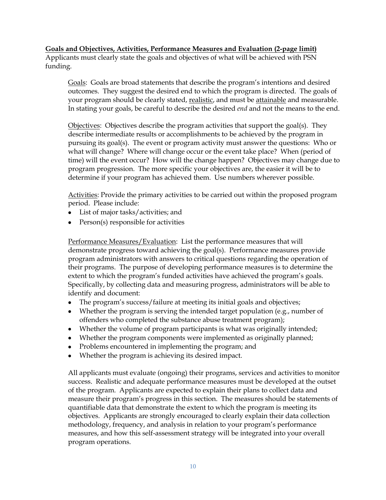### **Goals and Objectives, Activities, Performance Measures and Evaluation (2-page limit)**

Applicants must clearly state the goals and objectives of what will be achieved with PSN funding.

Goals: Goals are broad statements that describe the program's intentions and desired outcomes. They suggest the desired end to which the program is directed. The goals of your program should be clearly stated, realistic, and must be attainable and measurable. In stating your goals, be careful to describe the desired *end* and not the means to the end.

Objectives: Objectives describe the program activities that support the goal(s). They describe intermediate results or accomplishments to be achieved by the program in pursuing its goal(s). The event or program activity must answer the questions: Who or what will change? Where will change occur or the event take place? When (period of time) will the event occur? How will the change happen? Objectives may change due to program progression. The more specific your objectives are, the easier it will be to determine if your program has achieved them. Use numbers wherever possible.

Activities: Provide the primary activities to be carried out within the proposed program period. Please include:

- List of major tasks/activities; and
- Person(s) responsible for activities

Performance Measures/Evaluation: List the performance measures that will demonstrate progress toward achieving the goal(s). Performance measures provide program administrators with answers to critical questions regarding the operation of their programs. The purpose of developing performance measures is to determine the extent to which the program's funded activities have achieved the program's goals. Specifically, by collecting data and measuring progress, administrators will be able to identify and document:

- The program's success/failure at meeting its initial goals and objectives;
- Whether the program is serving the intended target population (e.g., number of offenders who completed the substance abuse treatment program);
- Whether the volume of program participants is what was originally intended;
- Whether the program components were implemented as originally planned;
- Problems encountered in implementing the program; and
- Whether the program is achieving its desired impact.

All applicants must evaluate (ongoing) their programs, services and activities to monitor success. Realistic and adequate performance measures must be developed at the outset of the program. Applicants are expected to explain their plans to collect data and measure their program's progress in this section. The measures should be statements of quantifiable data that demonstrate the extent to which the program is meeting its objectives. Applicants are strongly encouraged to clearly explain their data collection methodology, frequency, and analysis in relation to your program's performance measures, and how this self-assessment strategy will be integrated into your overall program operations.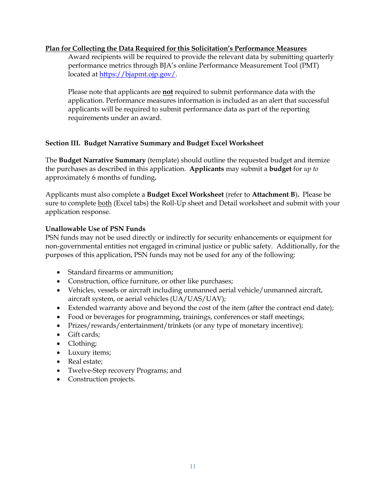#### **Plan for Collecting the Data Required for this Solicitation's Performance Measures**

Award recipients will be required to provide the relevant data by submitting quarterly performance metrics through BJA's online Performance Measurement Tool (PMT) located at [https://bjapmt.ojp.gov/.](https://bjapmt.ojp.gov/)

Please note that applicants are **not** required to submit performance data with the application. Performance measures information is included as an alert that successful applicants will be required to submit performance data as part of the reporting requirements under an award.

#### **Section III. Budget Narrative Summary and Budget Excel Worksheet**

The **Budget Narrative Summary** (template) should outline the requested budget and itemize the purchases as described in this application. **Applicants** may submit a **budget** for *up to* approximately 6 months of funding**.** 

Applicants must also complete a **Budget Excel Worksheet** (refer to **Attachment B**)**.** Please be sure to complete both (Excel tabs) the Roll-Up sheet and Detail worksheet and submit with your application response.

#### **Unallowable Use of PSN Funds**

PSN funds may not be used directly or indirectly for security enhancements or equipment for non-governmental entities not engaged in criminal justice or public safety. Additionally, for the purposes of this application, PSN funds may not be used for any of the following:

- Standard firearms or ammunition;
- Construction, office furniture, or other like purchases;
- Vehicles, vessels or aircraft including unmanned aerial vehicle/unmanned aircraft, aircraft system, or aerial vehicles (UA/UAS/UAV);
- Extended warranty above and beyond the cost of the item (after the contract end date);
- Food or beverages for programming, trainings, conferences or staff meetings;
- Prizes/rewards/entertainment/trinkets (or any type of monetary incentive);
- Gift cards;
- Clothing;
- Luxury items;
- Real estate:
- Twelve-Step recovery Programs; and
- Construction projects.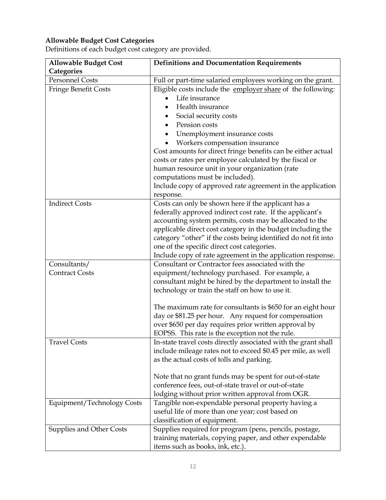## **Allowable Budget Cost Categories**

Definitions of each budget cost category are provided.

| <b>Allowable Budget Cost</b> | <b>Definitions and Documentation Requirements</b>              |
|------------------------------|----------------------------------------------------------------|
| Categories                   |                                                                |
| <b>Personnel Costs</b>       | Full or part-time salaried employees working on the grant.     |
| Fringe Benefit Costs         | Eligible costs include the employer share of the following:    |
|                              | Life insurance                                                 |
|                              | Health insurance                                               |
|                              | Social security costs                                          |
|                              | Pension costs                                                  |
|                              | Unemployment insurance costs                                   |
|                              | Workers compensation insurance                                 |
|                              | Cost amounts for direct fringe benefits can be either actual   |
|                              | costs or rates per employee calculated by the fiscal or        |
|                              | human resource unit in your organization (rate                 |
|                              | computations must be included).                                |
|                              | Include copy of approved rate agreement in the application     |
|                              | response.                                                      |
| <b>Indirect Costs</b>        | Costs can only be shown here if the applicant has a            |
|                              | federally approved indirect cost rate. If the applicant's      |
|                              | accounting system permits, costs may be allocated to the       |
|                              | applicable direct cost category in the budget including the    |
|                              | category "other" if the costs being identified do not fit into |
|                              | one of the specific direct cost categories.                    |
|                              | Include copy of rate agreement in the application response.    |
| Consultants/                 | Consultant or Contractor fees associated with the              |
| <b>Contract Costs</b>        | equipment/technology purchased. For example, a                 |
|                              | consultant might be hired by the department to install the     |
|                              | technology or train the staff on how to use it.                |
|                              |                                                                |
|                              | The maximum rate for consultants is \$650 for an eight hour    |
|                              | day or \$81.25 per hour. Any request for compensation          |
|                              | over \$650 per day requires prior written approval by          |
|                              | EOPSS. This rate is the exception not the rule.                |
| <b>Travel Costs</b>          | In-state travel costs directly associated with the grant shall |
|                              | include mileage rates not to exceed \$0.45 per mile, as well   |
|                              | as the actual costs of tolls and parking.                      |
|                              |                                                                |
|                              | Note that no grant funds may be spent for out-of-state         |
|                              | conference fees, out-of-state travel or out-of-state           |
|                              | lodging without prior written approval from OGR.               |
| Equipment/Technology Costs   | Tangible non-expendable personal property having a             |
|                              | useful life of more than one year; cost based on               |
|                              | classification of equipment.                                   |
| Supplies and Other Costs     | Supplies required for program (pens, pencils, postage,         |
|                              | training materials, copying paper, and other expendable        |
|                              | items such as books, ink, etc.).                               |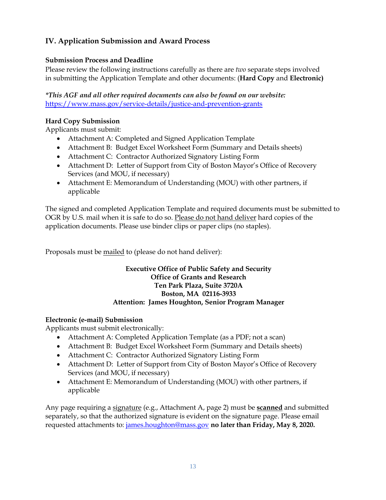# **IV. Application Submission and Award Process**

## **Submission Process and Deadline**

Please review the following instructions carefully as there are *two* separate steps involved in submitting the Application Template and other documents: (**Hard Copy** and **Electronic)**

*\*This AGF and all other required documents can also be found on our website:* <https://www.mass.gov/service-details/justice-and-prevention-grants>

## **Hard Copy Submission**

Applicants must submit:

- Attachment A: Completed and Signed Application Template
- Attachment B: Budget Excel Worksheet Form (Summary and Details sheets)
- Attachment C: Contractor Authorized Signatory Listing Form
- Attachment D: Letter of Support from City of Boston Mayor's Office of Recovery Services (and MOU, if necessary)
- Attachment E: Memorandum of Understanding (MOU) with other partners, if applicable

The signed and completed Application Template and required documents must be submitted to OGR by U.S. mail when it is safe to do so. Please do not hand deliver hard copies of the application documents. Please use binder clips or paper clips (no staples).

Proposals must be mailed to (please do not hand deliver):

### **Executive Office of Public Safety and Security Office of Grants and Research Ten Park Plaza, Suite 3720A Boston, MA 02116-3933 Attention: James Houghton, Senior Program Manager**

### **Electronic (e-mail) Submission**

Applicants must submit electronically:

- Attachment A: Completed Application Template (as a PDF; not a scan)
- Attachment B: Budget Excel Worksheet Form (Summary and Details sheets)
- Attachment C: Contractor Authorized Signatory Listing Form
- Attachment D: Letter of Support from City of Boston Mayor's Office of Recovery Services (and MOU, if necessary)
- Attachment E: Memorandum of Understanding (MOU) with other partners, if applicable

Any page requiring a signature (e.g., Attachment A, page 2) must be **scanned** and submitted separately, so that the authorized signature is evident on the signature page. Please email requested attachments to: james.houghton@mass.gov **no later than Friday, May 8, 2020.**